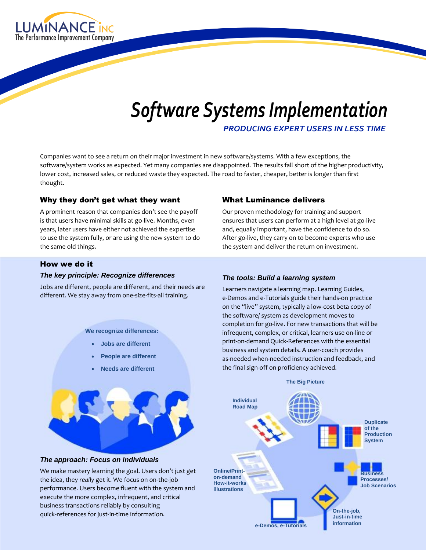

# *Software Systems Implementation*

*PRODUCING EXPERT USERS IN LESS TIME*

Companies want to see a return on their major investment in new software/systems. With a few exceptions, the software/system works as expected. Yet many companies are disappointed. The results fall short of the higher productivity, lower cost, increased sales, or reduced waste they expected. The road to faster, cheaper, better is longer than first thought.

# Why they don't get what they want

A prominent reason that companies don't see the payoff is that users have minimal skills at go-live. Months, even years, later users have either not achieved the expertise to use the system fully, or are using the new system to do the same old things.

#### What Luminance delivers

Our proven methodology for training and support ensures that users can perform at a high level at go-live and, equally important, have the confidence to do so. After go-live, they carry on to become experts who use the system and deliver the return on investment.

#### How we do it

#### *The key principle: Recognize differences*

Jobs are different, people are different, and their needs are different. We stay away from one-size-fits-all training.

**We recognize differences:**

- **Jobs are different**
- **People are different**
- **Needs are different**



#### *The approach: Focus on individuals*

We make mastery learning the goal. Users don't just get the idea, they *really* get it. We focus on on-the-job performance. Users become fluent with the system and execute the more complex, infrequent, and critical business transactions reliably by consulting quick-references for just-in-time information.

#### *The tools: Build a learning system*

Learners navigate a learning map. Learning Guides, e-Demos and e-Tutorials guide their hands-on practice on the "live" system, typically a low-cost beta copy of the software/ system as development moves to completion for go-live. For new transactions that will be infrequent, complex, or critical, learners use on-line or print-on-demand Quick-References with the essential business and system details. A user-coach provides as-needed when-needed instruction and feedback, and the final sign-off on proficiency achieved.